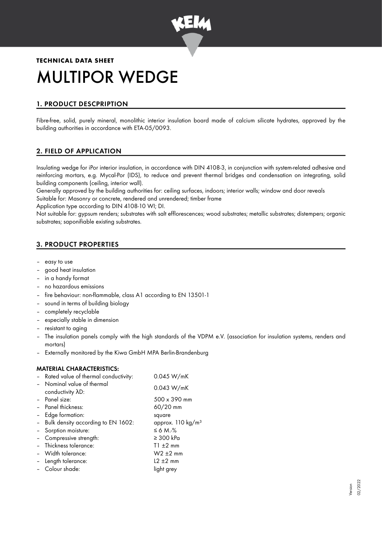

# **TECHNICAL DATA SHEET** MULTIPOR WEDGE

# 1. PRODUCT DESCPRIPTION

Fibre-free, solid, purely mineral, monolithic interior insulation board made of calcium silicate hydrates, approved by the building authorities in accordance with ETA-05/0093.

# 2. FIELD OF APPLICATION

Insulating wedge for iPor interior insulation, in accordance with DIN 4108-3, in conjunction with system-related adhesive and reinforcing mortars, e.g. Mycal-Por (IDS), to reduce and prevent thermal bridges and condensation on integrating, solid building components (ceiling, interior wall).

Generally approved by the building authorities for: ceiling surfaces, indoors; interior walls; window and door reveals Suitable for: Masonry or concrete, rendered and unrendered; timber frame

Application type according to DIN 4108-10 WI; DI.

Not suitable for: gypsum renders; substrates with salt efflorescences; wood substrates; metallic substrates; distempers; organic substrates; saponifiable existing substrates.

# 3. PRODUCT PROPERTIES

- easy to use
- good heat insulation
- in a handy format
- no hazardous emissions
- fire behaviour: non-flammable, class A1 according to EN 13501-1
- sound in terms of building biology
- completely recyclable
- especially stable in dimension
- resistant to aging
- The insulation panels comply with the high standards of the VDPM e.V. (association for insulation systems, renders and mortars)
- Externally monitored by the Kiwa GmbH MPA Berlin-Brandenburg

## MATERIAL CHARACTERISTICS:

|                 | 0.045 W/mK                                                                                                                                                                                                                                                                                                           |  |
|-----------------|----------------------------------------------------------------------------------------------------------------------------------------------------------------------------------------------------------------------------------------------------------------------------------------------------------------------|--|
|                 | 0.043 W/mK                                                                                                                                                                                                                                                                                                           |  |
|                 |                                                                                                                                                                                                                                                                                                                      |  |
|                 | $500 \times 390$ mm                                                                                                                                                                                                                                                                                                  |  |
|                 | 60/20 mm                                                                                                                                                                                                                                                                                                             |  |
| Edge formation: | square                                                                                                                                                                                                                                                                                                               |  |
|                 | approx. 110 kg/m <sup>3</sup>                                                                                                                                                                                                                                                                                        |  |
|                 | $\leq 6$ M. $\%$                                                                                                                                                                                                                                                                                                     |  |
|                 | $\geq 300$ kPa                                                                                                                                                                                                                                                                                                       |  |
|                 | $T1 \pm 2$ mm                                                                                                                                                                                                                                                                                                        |  |
|                 | $W2 \pm 2$ mm                                                                                                                                                                                                                                                                                                        |  |
|                 | $12 \pm 2$ mm                                                                                                                                                                                                                                                                                                        |  |
|                 | light grey                                                                                                                                                                                                                                                                                                           |  |
|                 | - Rated value of thermal conductivity:<br>- Nominal value of thermal<br>conductivity AD:<br>- Panel size:<br>- Panel thickness:<br>- Bulk density according to EN 1602:<br>- Sorption moisture:<br>- Compressive strength:<br>- Thickness tolerance:<br>- Width tolerance:<br>- Length tolerance:<br>- Colour shade: |  |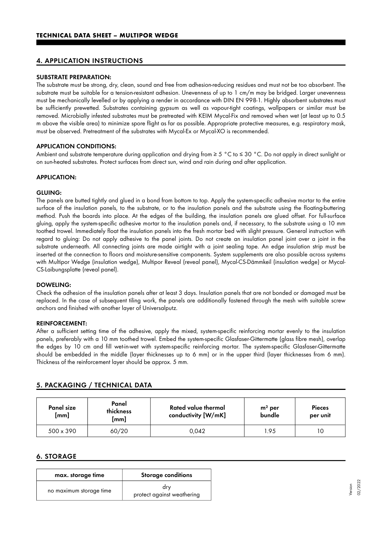## 4. APPLICATION INSTRUCTIONS

## SUBSTRATE PREPARATION:

The substrate must be strong, dry, clean, sound and free from adhesion-reducing residues and must not be too absorbent. The substrate must be suitable for a tension-resistant adhesion. Unevenness of up to 1 cm/m may be bridged. Larger unevenness must be mechanically levelled or by applying a render in accordance with DIN EN 998-1. Highly absorbent substrates must be sufficiently prewetted. Substrates containing gypsum as well as vapour-tight coatings, wallpapers or similar must be removed. Microbially infested substrates must be pretreated with KEIM Mycal-Fix and removed when wet (at least up to 0.5 m above the visible area) to minimize spore flight as far as possible. Appropriate protective measures, e.g. respiratory mask, must be observed. Pretreatment of the substrates with Mycal-Ex or Mycal-XO is recommended.

## APPLICATION CONDITIONS:

Ambient and substrate temperature during application and drying from ≥ 5 °C to ≤ 30 °C. Do not apply in direct sunlight or on sun-heated substrates. Protect surfaces from direct sun, wind and rain during and after application.

#### APPLICATION:

#### GLUING:

The panels are butted tightly and glued in a bond from bottom to top. Apply the system-specific adhesive mortar to the entire surface of the insulation panels, to the substrate, or to the insulation panels and the substrate using the floating-buttering method. Push the boards into place. At the edges of the building, the insulation panels are glued offset. For full-surface gluing, apply the system-specific adhesive mortar to the insulation panels and, if necessary, to the substrate using a 10 mm toothed trowel. Immediately float the insulation panels into the fresh mortar bed with slight pressure. General instruction with regard to gluing: Do not apply adhesive to the panel joints. Do not create an insulation panel joint over a joint in the substrate underneath. All connecting joints are made airtight with a joint sealing tape. An edge insulation strip must be inserted at the connection to floors and moisture-sensitive components. System supplements are also possible across systems with Multipor Wedge (insulation wedge), Multipor Reveal (reveal panel), Mycal-CS-Dämmkeil (insulation wedge) or Mycal-CS-Laibungsplatte (reveal panel).

#### DOWELING:

Check the adhesion of the insulation panels after at least 3 days. Insulation panels that are not bonded or damaged must be replaced. In the case of subsequent tiling work, the panels are additionally fastened through the mesh with suitable screw anchors and finished with another layer of Universalputz.

#### REINFORCEMENT:

After a sufficient setting time of the adhesive, apply the mixed, system-specific reinforcing mortar evenly to the insulation panels, preferably with a 10 mm toothed trowel. Embed the system-specific Glasfaser-Gittermatte (glass fibre mesh), overlap the edges by 10 cm and fill wet-in-wet with system-specific reinforcing mortar. The system-specific Glasfaser-Gittermatte should be embedded in the middle (layer thicknesses up to 6 mm) or in the upper third (layer thicknesses from 6 mm). Thickness of the reinforcement layer should be approx. 5 mm.

# 5. PACKAGING / TECHNICAL DATA

| <b>Panel size</b><br>[mm] | Panel<br>thickness<br>[mm] | Rated value thermal<br>conductivity [W/mK] | $m2$ per<br>bundle | <b>Pieces</b><br>per unit |
|---------------------------|----------------------------|--------------------------------------------|--------------------|---------------------------|
| $500 \times 390$          | 60/20                      | 0.042                                      | 95                 |                           |

## 6. STORAGE

| max. storage time       | <b>Storage conditions</b>         |
|-------------------------|-----------------------------------|
| no maximum storage time | drv<br>protect against weathering |